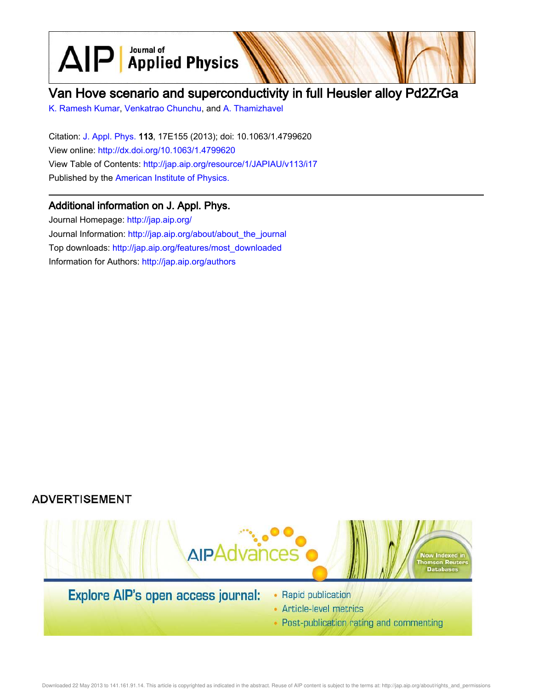$\text{AlP}$  Applied Physics

# Van Hove scenario and superconductivity in full Heusler alloy Pd2ZrGa

K. Ramesh Kumar, Venkatrao Chunchu, and A. Thamizhavel

Citation: J. Appl. Phys. 113, 17E155 (2013); doi: 10.1063/1.4799620 View online: http://dx.doi.org/10.1063/1.4799620 View Table of Contents: http://jap.aip.org/resource/1/JAPIAU/v113/i17 Published by the American Institute of Physics.

# Additional information on J. Appl. Phys.

Journal Homepage: http://jap.aip.org/ Journal Information: http://jap.aip.org/about/about\_the\_journal Top downloads: http://jap.aip.org/features/most\_downloaded Information for Authors: http://jap.aip.org/authors





- Article-level metrics
- Post-publication rating and commenting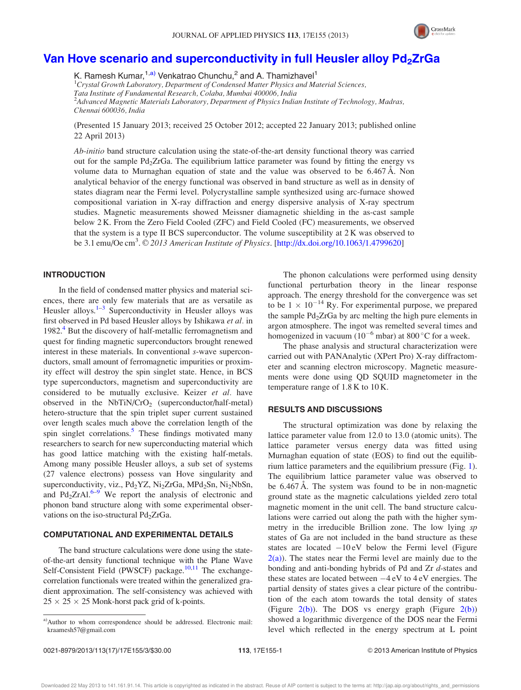

## Van Hove scenario and superconductivity in full Heusler alloy  $Pd<sub>2</sub>ZrGa$

K. Ramesh Kumar,<sup>1,a)</sup> Venkatrao Chunchu,<sup>2</sup> and A. Thamizhavel<sup>1</sup>

 ${}^{1}C$ rystal Growth Laboratory, Department of Condensed Matter Physics and Material Sciences,

Tata Institute of Fundamental Research, Colaba, Mumbai 400006, India

<sup>2</sup>Advanced Magnetic Materials Laboratory, Department of Physics Indian Institute of Technology, Madras, Chennai 600036, India

(Presented 15 January 2013; received 25 October 2012; accepted 22 January 2013; published online 22 April 2013)

Ab-initio band structure calculation using the state-of-the-art density functional theory was carried out for the sample Pd<sub>2</sub>ZrGa. The equilibrium lattice parameter was found by fitting the energy vs volume data to Murnaghan equation of state and the value was observed to be 6.467 Å. Non analytical behavior of the energy functional was observed in band structure as well as in density of states diagram near the Fermi level. Polycrystalline sample synthesized using arc-furnace showed compositional variation in X-ray diffraction and energy dispersive analysis of X-ray spectrum studies. Magnetic measurements showed Meissner diamagnetic shielding in the as-cast sample below 2 K. From the Zero Field Cooled (ZFC) and Field Cooled (FC) measurements, we observed that the system is a type II BCS superconductor. The volume susceptibility at 2 K was observed to be 3.1 emu/Oe cm<sup>3</sup>.  $\odot$  2013 American Institute of Physics. [http://dx.doi.org/10.1063/1.4799620]

### INTRODUCTION

In the field of condensed matter physics and material sciences, there are only few materials that are as versatile as Heusler alloys.<sup>1-3</sup> Superconductivity in Heusler alloys was first observed in Pd based Heusler alloys by Ishikawa et al. in 1982.<sup>4</sup> But the discovery of half-metallic ferromagnetism and quest for finding magnetic superconductors brought renewed interest in these materials. In conventional s-wave superconductors, small amount of ferromagnetic impurities or proximity effect will destroy the spin singlet state. Hence, in BCS type superconductors, magnetism and superconductivity are considered to be mutually exclusive. Keizer et al. have observed in the  $NbTiN/CrO<sub>2</sub>$  (superconductor/half-metal) hetero-structure that the spin triplet super current sustained over length scales much above the correlation length of the spin singlet correlations.<sup>5</sup> These findings motivated many researchers to search for new superconducting material which has good lattice matching with the existing half-metals. Among many possible Heusler alloys, a sub set of systems (27 valence electrons) possess van Hove singularity and superconductivity, viz., Pd<sub>2</sub>YZ, Ni<sub>2</sub>ZrGa, MPd<sub>2</sub>Sn, Ni<sub>2</sub>NbSn, and  $Pd_2ZrAl.<sup>6-9</sup>$  We report the analysis of electronic and phonon band structure along with some experimental observations on the iso-structural  $Pd<sub>2</sub>ZrGa$ .

#### COMPUTATIONAL AND EXPERIMENTAL DETAILS

The band structure calculations were done using the stateof-the-art density functional technique with the Plane Wave Self-Consistent Field (PWSCF) package.<sup>10,11</sup> The exchangecorrelation functionals were treated within the generalized gradient approximation. The self-consistency was achieved with  $25 \times 25 \times 25$  Monk-horst pack grid of k-points.

The phonon calculations were performed using density functional perturbation theory in the linear response approach. The energy threshold for the convergence was set to be  $1 \times 10^{-14}$  Ry. For experimental purpose, we prepared the sample  $Pd_2ZrGa$  by arc melting the high pure elements in argon atmosphere. The ingot was remelted several times and homogenized in vacuum  $(10^{-6}$  mbar) at 800 °C for a week.

The phase analysis and structural characterization were carried out with PANAnalytic (XPert Pro) X-ray diffractometer and scanning electron microscopy. Magnetic measurements were done using QD SQUID magnetometer in the temperature range of 1.8 K to 10 K.

#### RESULTS AND DISCUSSIONS

The structural optimization was done by relaxing the lattice parameter value from 12.0 to 13.0 (atomic units). The lattice parameter versus energy data was fitted using Murnaghan equation of state (EOS) to find out the equilibrium lattice parameters and the equilibrium pressure (Fig. 1). The equilibrium lattice parameter value was observed to be 6.467 Å. The system was found to be in non-magnetic ground state as the magnetic calculations yielded zero total magnetic moment in the unit cell. The band structure calculations were carried out along the path with the higher symmetry in the irreducible Brillion zone. The low lying sp states of Ga are not included in the band structure as these states are located  $-10 \text{ eV}$  below the Fermi level (Figure  $2(a)$ ). The states near the Fermi level are mainly due to the bonding and anti-bonding hybrids of Pd and Zr d-states and these states are located between  $-4 eV$  to  $4 eV$  energies. The partial density of states gives a clear picture of the contribution of the each atom towards the total density of states (Figure  $2(b)$ ). The DOS vs energy graph (Figure  $2(b)$ ) showed a logarithmic divergence of the DOS near the Fermi level which reflected in the energy spectrum at L point

a)Author to whom correspondence should be addressed. Electronic mail: kraamesh57@gmail.com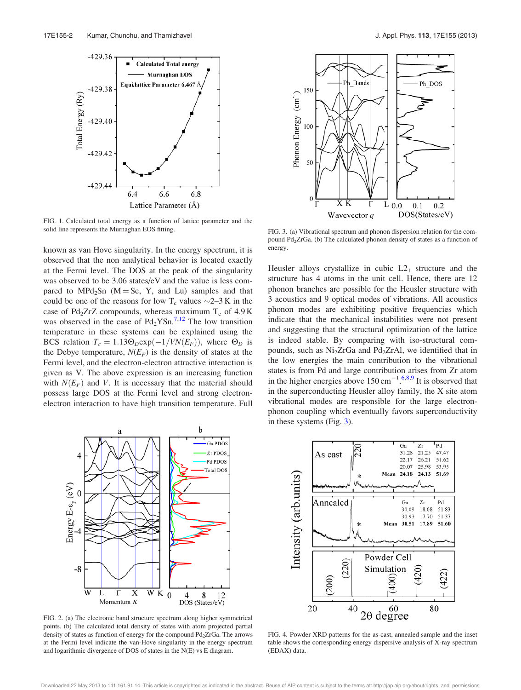

FIG. 1. Calculated total energy as a function of lattice parameter and the solid line represents the Murnaghan EOS fitting.

known as van Hove singularity. In the energy spectrum, it is observed that the non analytical behavior is located exactly at the Fermi level. The DOS at the peak of the singularity was observed to be 3.06 states/eV and the value is less compared to  $MPd_2Sn$  (M = Sc, Y, and Lu) samples and that could be one of the reasons for low  $T_c$  values  $\sim$ 2–3 K in the case of Pd<sub>2</sub>ZrZ compounds, whereas maximum  $T_c$  of 4.9 K was observed in the case of  $Pd_2YSn.^{7,12}$  The low transition temperature in these systems can be explained using the BCS relation  $T_c = 1.13\Theta_D \exp(-1/VN(E_F))$ , where  $\Theta_D$  is the Debye temperature,  $N(E_F)$  is the density of states at the Fermi level, and the electron-electron attractive interaction is given as V. The above expression is an increasing function with  $N(E_F)$  and V. It is necessary that the material should possess large DOS at the Fermi level and strong electronelectron interaction to have high transition temperature. Full



FIG. 2. (a) The electronic band structure spectrum along higher symmetrical points. (b) The calculated total density of states with atom projected partial density of states as function of energy for the compound Pd<sub>2</sub>ZrGa. The arrows at the Fermi level indicate the van-Hove singularity in the energy spectrum and logarithmic divergence of DOS of states in the N(E) vs E diagram.



FIG. 3. (a) Vibrational spectrum and phonon dispersion relation for the compound Pd<sub>2</sub>ZrGa. (b) The calculated phonon density of states as a function of energy.

Heusler alloys crystallize in cubic  $L2<sub>1</sub>$  structure and the structure has 4 atoms in the unit cell. Hence, there are 12 phonon branches are possible for the Heusler structure with 3 acoustics and 9 optical modes of vibrations. All acoustics phonon modes are exhibiting positive frequencies which indicate that the mechanical instabilities were not present and suggesting that the structural optimization of the lattice is indeed stable. By comparing with iso-structural compounds, such as Ni<sub>2</sub>ZrGa and Pd<sub>2</sub>ZrAl, we identified that in the low energies the main contribution to the vibrational states is from Pd and large contribution arises from Zr atom in the higher energies above  $150 \text{ cm}^{-1}$ .<sup>6,8,9</sup> It is observed that in the superconducting Heusler alloy family, the X site atom vibrational modes are responsible for the large electronphonon coupling which eventually favors superconductivity in these systems (Fig. 3).



FIG. 4. Powder XRD patterns for the as-cast, annealed sample and the inset table shows the corresponding energy dispersive analysis of X-ray spectrum (EDAX) data.